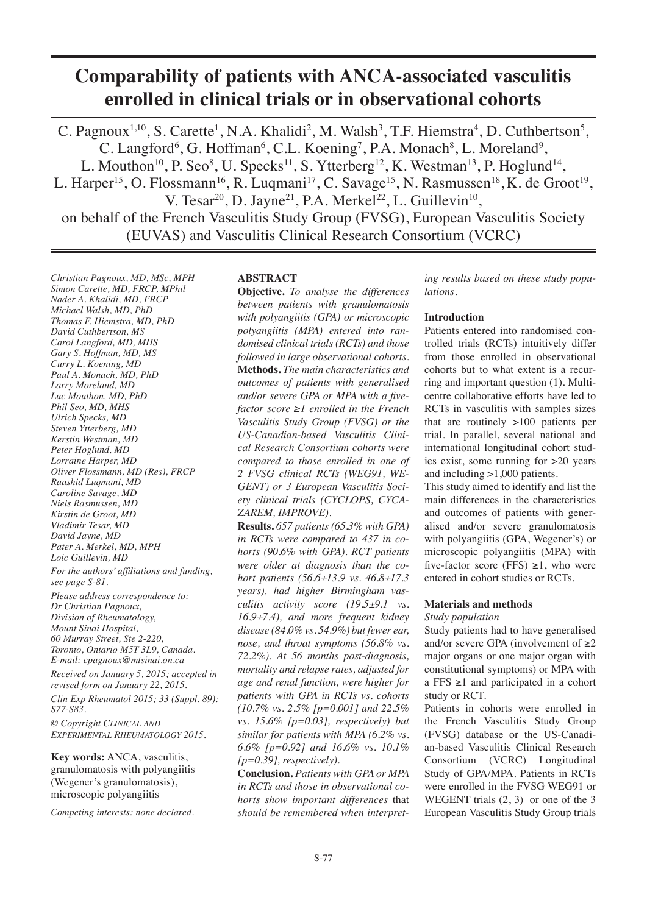# **Comparability of patients with ANCA-associated vasculitis enrolled in clinical trials or in observational cohorts**

C. Pagnoux<sup>1,10</sup>, S. Carette<sup>1</sup>, N.A. Khalidi<sup>2</sup>, M. Walsh<sup>3</sup>, T.F. Hiemstra<sup>4</sup>, D. Cuthbertson<sup>5</sup>, C. Langford<sup>6</sup>, G. Hoffman<sup>6</sup>, C.L. Koening<sup>7</sup>, P.A. Monach<sup>8</sup>, L. Moreland<sup>9</sup>, L. Mouthon<sup>10</sup>, P. Seo<sup>8</sup>, U. Specks<sup>11</sup>, S. Ytterberg<sup>12</sup>, K. Westman<sup>13</sup>, P. Hoglund<sup>14</sup>, L. Harper<sup>15</sup>, O. Flossmann<sup>16</sup>, R. Luqmani<sup>17</sup>, C. Savage<sup>15</sup>, N. Rasmussen<sup>18</sup>, K. de Groot<sup>19</sup>, V. Tesar<sup>20</sup>, D. Jayne<sup>21</sup>, P.A. Merkel<sup>22</sup>, L. Guillevin<sup>10</sup>, on behalf of the French Vasculitis Study Group (FVSG), European Vasculitis Society (EUVAS) and Vasculitis Clinical Research Consortium (VCRC)

*Christian Pagnoux, MD, MSc, MPH Simon Carette, MD, FRCP, MPhil Nader A. Khalidi, MD, FRCP Michael Walsh, MD, PhD Thomas F. Hiemstra, MD, PhD David Cuthbertson, MS Carol Langford, MD, MHS Gary S. Hoffman, MD, MS Curry L. Koening, MD Paul A. Monach, MD, PhD Larry Moreland, MD Luc Mouthon, MD, PhD Phil Seo, MD, MHS Ulrich Specks, MD Steven Ytterberg, MD Kerstin Westman, MD Peter Hoglund, MD Lorraine Harper, MD Oliver Flossmann, MD (Res), FRCP Raashid Luqmani, MD Caroline Savage, MD Niels Rasmussen, MD Kirstin de Groot, MD Vladimir Tesar, MD David Jayne, MD Pater A. Merkel, MD, MPH Loic Guillevin, MD For the authors' affiliations and funding, see page S-81. Please address correspondence to: Dr Christian Pagnoux, Division of Rheumatology, Mount Sinai Hospital, 60 Murray Street, Ste 2-220, Toronto, Ontario M5T 3L9, Canada. E-mail: cpagnoux@mtsinai.on.ca Received on January 5, 2015; accepted in revised form on January 22, 2015. Clin Exp Rheumatol 2015; 33 (Suppl. 89): S77-S83. © Copyright Clinical and*

*Experimental Rheumatology 2015.*

**Key words:** ANCA, vasculitis, granulomatosis with polyangiitis (Wegener's granulomatosis), microscopic polyangiitis

*Competing interests: none declared.*

## **ABSTRACT**

**Objective.** *To analyse the differences between patients with granulomatosis with polyangiitis (GPA) or microscopic polyangiitis (MPA) entered into randomised clinical trials (RCTs) and those followed in large observational cohorts.*  **Methods.** *The main characteristics and outcomes of patients with generalised and/or severe GPA or MPA with a fivefactor score ≥1 enrolled in the French Vasculitis Study Group (FVSG) or the US-Canadian-based Vasculitis Clinical Research Consortium cohorts were compared to those enrolled in one of 2 FVSG clinical RCTs (WEG91, WE-GENT) or 3 European Vasculitis Society clinical trials (CYCLOPS, CYCA-ZAREM, IMPROVE).* 

**Results.** *657 patients (65.3% with GPA) in RCTs were compared to 437 in cohorts (90.6% with GPA). RCT patients were older at diagnosis than the cohort patients (56.6±13.9 vs. 46.8±17.3 years), had higher Birmingham vasculitis activity score (19.5±9.1 vs. 16.9±7.4), and more frequent kidney disease (84.0% vs. 54.9%) but fewer ear, nose, and throat symptoms (56.8% vs. 72.2%). At 56 months post-diagnosis, mortality and relapse rates, adjusted for age and renal function, were higher for patients with GPA in RCTs vs. cohorts (10.7% vs. 2.5% [p=0.001] and 22.5% vs. 15.6% [p=0.03], respectively) but similar for patients with MPA (6.2% vs. 6.6% [p=0.92] and 16.6% vs. 10.1% [p=0.39], respectively).* 

**Conclusion.** *Patients with GPA or MPA in RCTs and those in observational cohorts show important differences* that *should be remembered when interpret-*

*ing results based on these study populations.*

#### **Introduction**

Patients entered into randomised controlled trials (RCTs) intuitively differ from those enrolled in observational cohorts but to what extent is a recurring and important question (1). Multicentre collaborative efforts have led to RCTs in vasculitis with samples sizes that are routinely >100 patients per trial. In parallel, several national and international longitudinal cohort studies exist, some running for >20 years and including >1,000 patients.

This study aimed to identify and list the main differences in the characteristics and outcomes of patients with generalised and/or severe granulomatosis with polyangiitis (GPA, Wegener's) or microscopic polyangiitis (MPA) with five-factor score (FFS)  $\geq 1$ , who were entered in cohort studies or RCTs.

## **Materials and methods**

*Study population*

Study patients had to have generalised and/or severe GPA (involvement of  $\geq 2$ major organs or one major organ with constitutional symptoms) or MPA with a FFS ≥1 and participated in a cohort study or RCT.

Patients in cohorts were enrolled in the French Vasculitis Study Group (FVSG) database or the US-Canadian-based Vasculitis Clinical Research Consortium (VCRC) Longitudinal Study of GPA/MPA. Patients in RCTs were enrolled in the FVSG WEG91 or WEGENT trials  $(2, 3)$  or one of the 3 European Vasculitis Study Group trials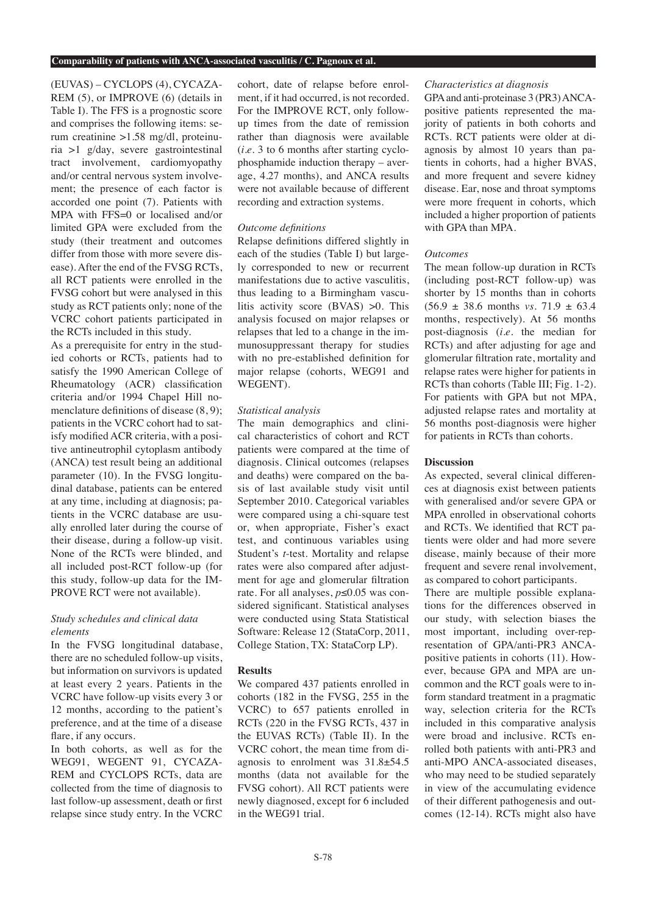#### **Comparability of patients with ANCA-associated vasculitis / C. Pagnoux et al.**

(EUVAS) – CYCLOPS (4), CYCAZA-REM (5), or IMPROVE (6) (details in Table I). The FFS is a prognostic score and comprises the following items: serum creatinine >1.58 mg/dl, proteinuria >1 g/day, severe gastrointestinal tract involvement, cardiomyopathy and/or central nervous system involvement; the presence of each factor is accorded one point (7). Patients with MPA with FFS=0 or localised and/or limited GPA were excluded from the study (their treatment and outcomes differ from those with more severe disease). After the end of the FVSG RCTs, all RCT patients were enrolled in the FVSG cohort but were analysed in this study as RCT patients only; none of the VCRC cohort patients participated in the RCTs included in this study.

As a prerequisite for entry in the studied cohorts or RCTs, patients had to satisfy the 1990 American College of Rheumatology (ACR) classification criteria and/or 1994 Chapel Hill nomenclature definitions of disease (8, 9); patients in the VCRC cohort had to satisfy modified ACR criteria, with a positive antineutrophil cytoplasm antibody (ANCA) test result being an additional parameter (10). In the FVSG longitudinal database, patients can be entered at any time, including at diagnosis; patients in the VCRC database are usually enrolled later during the course of their disease, during a follow-up visit. None of the RCTs were blinded, and all included post-RCT follow-up (for this study, follow-up data for the IM-PROVE RCT were not available).

# *Study schedules and clinical data elements*

In the FVSG longitudinal database, there are no scheduled follow-up visits, but information on survivors is updated at least every 2 years. Patients in the VCRC have follow-up visits every 3 or 12 months, according to the patient's preference, and at the time of a disease flare, if any occurs.

In both cohorts, as well as for the WEG91, WEGENT 91, CYCAZA-REM and CYCLOPS RCTs, data are collected from the time of diagnosis to last follow-up assessment, death or first relapse since study entry. In the VCRC

cohort, date of relapse before enrolment, if it had occurred, is not recorded. For the IMPROVE RCT, only followup times from the date of remission rather than diagnosis were available (*i.e.* 3 to 6 months after starting cyclophosphamide induction therapy – average, 4.27 months), and ANCA results were not available because of different recording and extraction systems.

## *Outcome definitions*

Relapse definitions differed slightly in each of the studies (Table I) but largely corresponded to new or recurrent manifestations due to active vasculitis, thus leading to a Birmingham vasculitis activity score (BVAS) >0. This analysis focused on major relapses or relapses that led to a change in the immunosuppressant therapy for studies with no pre-established definition for major relapse (cohorts, WEG91 and WEGENT).

## *Statistical analysis*

The main demographics and clinical characteristics of cohort and RCT patients were compared at the time of diagnosis. Clinical outcomes (relapses and deaths) were compared on the basis of last available study visit until September 2010. Categorical variables were compared using a chi-square test or, when appropriate, Fisher's exact test, and continuous variables using Student's *t*-test. Mortality and relapse rates were also compared after adjustment for age and glomerular filtration rate. For all analyses, *p*≤0.05 was considered significant. Statistical analyses were conducted using Stata Statistical Software: Release 12 (StataCorp, 2011, College Station, TX: StataCorp LP).

# **Results**

We compared 437 patients enrolled in cohorts (182 in the FVSG, 255 in the VCRC) to 657 patients enrolled in RCTs (220 in the FVSG RCTs, 437 in the EUVAS RCTs) (Table II). In the VCRC cohort, the mean time from diagnosis to enrolment was 31.8±54.5 months (data not available for the FVSG cohort). All RCT patients were newly diagnosed, except for 6 included in the WEG91 trial.

## *Characteristics at diagnosis*

GPA and anti-proteinase 3 (PR3) ANCApositive patients represented the majority of patients in both cohorts and RCTs. RCT patients were older at diagnosis by almost 10 years than patients in cohorts, had a higher BVAS, and more frequent and severe kidney disease. Ear, nose and throat symptoms were more frequent in cohorts, which included a higher proportion of patients with GPA than MPA.

#### *Outcomes*

The mean follow-up duration in RCTs (including post-RCT follow-up) was shorter by 15 months than in cohorts  $(56.9 \pm 38.6 \text{ months } vs. 71.9 \pm 63.4)$ months, respectively). At 56 months post-diagnosis (*i.e.* the median for RCTs) and after adjusting for age and glomerular filtration rate, mortality and relapse rates were higher for patients in RCTs than cohorts (Table III; Fig. 1-2). For patients with GPA but not MPA, adjusted relapse rates and mortality at 56 months post-diagnosis were higher for patients in RCTs than cohorts.

## **Discussion**

As expected, several clinical differences at diagnosis exist between patients with generalised and/or severe GPA or MPA enrolled in observational cohorts and RCTs. We identified that RCT patients were older and had more severe disease, mainly because of their more frequent and severe renal involvement, as compared to cohort participants.

There are multiple possible explanations for the differences observed in our study, with selection biases the most important, including over-representation of GPA/anti-PR3 ANCApositive patients in cohorts (11). However, because GPA and MPA are uncommon and the RCT goals were to inform standard treatment in a pragmatic way, selection criteria for the RCTs included in this comparative analysis were broad and inclusive. RCTs enrolled both patients with anti-PR3 and anti-MPO ANCA-associated diseases, who may need to be studied separately in view of the accumulating evidence of their different pathogenesis and outcomes (12-14). RCTs might also have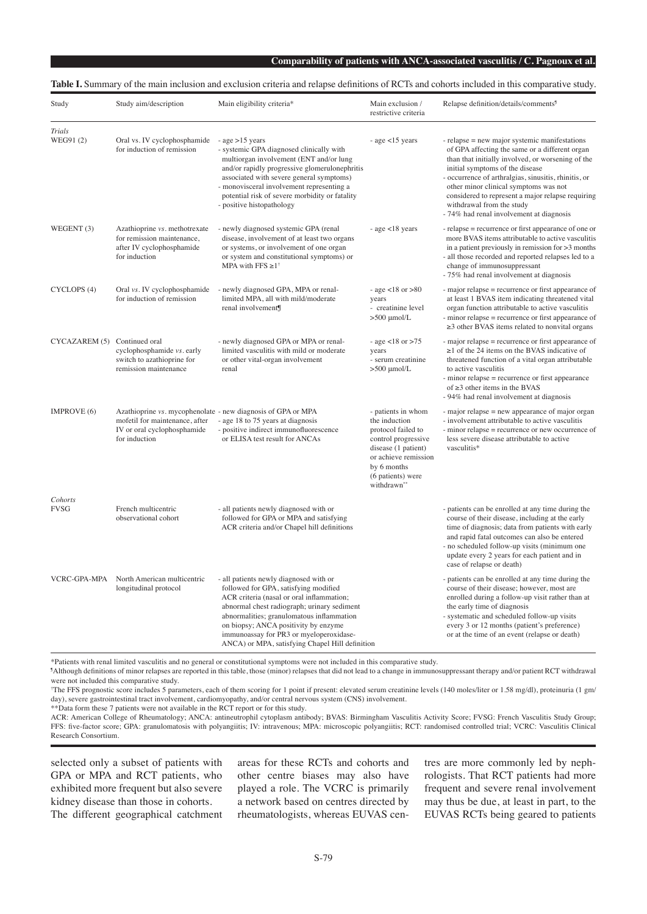#### **Table I.** Summary of the main inclusion and exclusion criteria and relapse definitions of RCTs and cohorts included in this comparative study.

| Study                        | Study aim/description                                                                                                                          | Main eligibility criteria*                                                                                                                                                                                                                                                                                                                                     | Main exclusion /<br>restrictive criteria                                                                                                                                           | Relapse definition/details/comments <sup>9</sup>                                                                                                                                                                                                                                                                                                                                                                       |
|------------------------------|------------------------------------------------------------------------------------------------------------------------------------------------|----------------------------------------------------------------------------------------------------------------------------------------------------------------------------------------------------------------------------------------------------------------------------------------------------------------------------------------------------------------|------------------------------------------------------------------------------------------------------------------------------------------------------------------------------------|------------------------------------------------------------------------------------------------------------------------------------------------------------------------------------------------------------------------------------------------------------------------------------------------------------------------------------------------------------------------------------------------------------------------|
| <b>Trials</b><br>WEG91(2)    | Oral vs. IV cyclophosphamide<br>for induction of remission                                                                                     | - $age > 15$ years<br>- systemic GPA diagnosed clinically with<br>multiorgan involvement (ENT and/or lung<br>and/or rapidly progressive glomerulonephritis<br>associated with severe general symptoms)<br>- monovisceral involvement representing a<br>potential risk of severe morbidity or fatality<br>- positive histopathology                             | - age $<$ 15 years                                                                                                                                                                 | - relapse = new major systemic manifestations<br>of GPA affecting the same or a different organ<br>than that initially involved, or worsening of the<br>initial symptoms of the disease<br>- occurrence of arthralgias, sinusitis, rhinitis, or<br>other minor clinical symptoms was not<br>considered to represent a major relapse requiring<br>withdrawal from the study<br>- 74% had renal involvement at diagnosis |
| WEGENT (3)                   | Azathioprine vs. methotrexate<br>for remission maintenance,<br>after IV cyclophosphamide<br>for induction                                      | - newly diagnosed systemic GPA (renal<br>disease, involvement of at least two organs<br>or systems, or involvement of one organ<br>or system and constitutional symptoms) or<br>MPA with FFS $\geq 1^{\dagger}$                                                                                                                                                | - age $<$ 18 years                                                                                                                                                                 | - relapse = recurrence or first appearance of one or<br>more BVAS items attributable to active vasculitis<br>in a patient previously in remission for $>3$ months<br>- all those recorded and reported relapses led to a<br>change of immunosuppressant<br>- 75% had renal involvement at diagnosis                                                                                                                    |
| CYCLOPS (4)                  | Oral vs. IV cyclophosphamide<br>for induction of remission                                                                                     | - newly diagnosed GPA, MPA or renal-<br>limited MPA, all with mild/moderate<br>renal involvement¶                                                                                                                                                                                                                                                              | - age $<$ 18 or $>$ 80<br>years<br>- creatinine level<br>$>500$ µmol/L                                                                                                             | - major relapse = recurrence or first appearance of<br>at least 1 BVAS item indicating threatened vital<br>organ function attributable to active vasculitis<br>- minor relapse = recurrence or first appearance of<br>$\geq$ 3 other BVAS items related to nonvital organs                                                                                                                                             |
| CYCAZAREM (5) Continued oral | cyclophosphamide vs. early<br>switch to azathioprine for<br>remission maintenance                                                              | - newly diagnosed GPA or MPA or renal-<br>limited vasculitis with mild or moderate<br>or other vital-organ involvement<br>renal                                                                                                                                                                                                                                | - age <18 or >75<br>years<br>- serum creatinine<br>$>500$ µmol/L                                                                                                                   | - major relapse = recurrence or first appearance of<br>$\geq$ 1 of the 24 items on the BVAS indicative of<br>threatened function of a vital organ attributable<br>to active vasculitis<br>- minor relapse = recurrence or first appearance<br>of $\geq$ 3 other items in the BVAS<br>- 94% had renal involvement at diagnosis                                                                                          |
| IMPROVE (6)                  | Azathioprine vs. mycophenolate - new diagnosis of GPA or MPA<br>mofetil for maintenance, after<br>IV or oral cyclophosphamide<br>for induction | - age 18 to 75 years at diagnosis<br>- positive indirect immunofluorescence<br>or ELISA test result for ANCAs                                                                                                                                                                                                                                                  | - patients in whom<br>the induction<br>protocol failed to<br>control progressive<br>disease (1 patient)<br>or achieve remission<br>by 6 months<br>(6 patients) were<br>withdrawn** | - major relapse = new appearance of major organ<br>- involvement attributable to active vasculitis<br>- minor relapse = recurrence or new occurrence of<br>less severe disease attributable to active<br>vasculitis*                                                                                                                                                                                                   |
| Cohorts<br><b>FVSG</b>       | French multicentric<br>observational cohort                                                                                                    | - all patients newly diagnosed with or<br>followed for GPA or MPA and satisfying<br>ACR criteria and/or Chapel hill definitions                                                                                                                                                                                                                                |                                                                                                                                                                                    | - patients can be enrolled at any time during the<br>course of their disease, including at the early<br>time of diagnosis; data from patients with early<br>and rapid fatal outcomes can also be entered<br>- no scheduled follow-up visits (minimum one<br>update every 2 years for each patient and in<br>case of relapse or death)                                                                                  |
| <b>VCRC-GPA-MPA</b>          | North American multicentric<br>longitudinal protocol                                                                                           | - all patients newly diagnosed with or<br>followed for GPA, satisfying modified<br>ACR criteria (nasal or oral inflammation;<br>abnormal chest radiograph; urinary sediment<br>abnormalities; granulomatous inflammation<br>on biopsy; ANCA positivity by enzyme<br>immunoassay for PR3 or myeloperoxidase-<br>ANCA) or MPA, satisfying Chapel Hill definition |                                                                                                                                                                                    | - patients can be enrolled at any time during the<br>course of their disease; however, most are<br>enrolled during a follow-up visit rather than at<br>the early time of diagnosis<br>- systematic and scheduled follow-up visits<br>every 3 or 12 months (patient's preference)<br>or at the time of an event (relapse or death)                                                                                      |

\*Patients with renal limited vasculitis and no general or constitutional symptoms were not included in this comparative study.

¶ Although definitions of minor relapses are reported in this table, those (minor) relapses that did not lead to a change in immunosuppressant therapy and/or patient RCT withdrawal were not included this comparative study.

† The FFS prognostic score includes 5 parameters, each of them scoring for 1 point if present: elevated serum creatinine levels (140 moles/liter or 1.58 mg/dl), proteinuria (1 gm/ day), severe gastrointestinal tract involvement, cardiomyopathy, and/or central nervous system (CNS) involvement.

\*\*Data form these 7 patients were not available in the RCT report or for this study.

ACR: American College of Rheumatology; ANCA: antineutrophil cytoplasm antibody; BVAS: Birmingham Vasculitis Activity Score; FVSG: French Vasculitis Study Group; FFS: five-factor score; GPA: granulomatosis with polyangiitis; IV: intravenous; MPA: microscopic polyangiitis; RCT: randomised controlled trial; VCRC: Vasculitis Clinical Research Consortium.

selected only a subset of patients with GPA or MPA and RCT patients, who exhibited more frequent but also severe kidney disease than those in cohorts. The different geographical catchment

<sup>-</sup>

areas for these RCTs and cohorts and other centre biases may also have played a role. The VCRC is primarily a network based on centres directed by rheumatologists, whereas EUVAS cen-

tres are more commonly led by nephrologists. That RCT patients had more frequent and severe renal involvement may thus be due, at least in part, to the EUVAS RCTs being geared to patients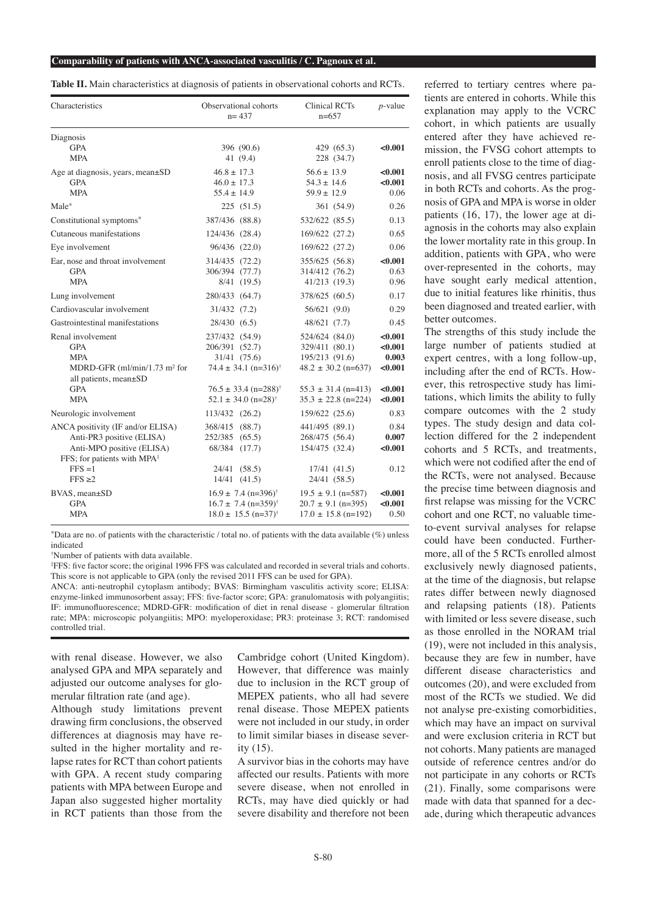**Table II.** Main characteristics at diagnosis of patients in observational cohorts and RCTs.

| Characteristics                                                                                                                      | Observational cohorts<br>$n = 437$                                                                                        | <b>Clinical RCTs</b><br>$n=657$                                               | $p$ -value                             |
|--------------------------------------------------------------------------------------------------------------------------------------|---------------------------------------------------------------------------------------------------------------------------|-------------------------------------------------------------------------------|----------------------------------------|
| Diagnosis<br><b>GPA</b><br><b>MPA</b>                                                                                                | 396 (90.6)<br>41 (9.4)                                                                                                    | 429 (65.3)<br>228 (34.7)                                                      | < 0.001                                |
| Age at diagnosis, years, mean $\pm SD$<br><b>GPA</b><br><b>MPA</b>                                                                   | $46.8 \pm 17.3$<br>$46.0 \pm 17.3$<br>$55.4 \pm 14.9$                                                                     | $56.6 \pm 13.9$<br>$54.3 \pm 14.6$<br>$59.9 \pm 12.9$                         | < 0.001<br>< 0.001<br>0.06             |
| Male*                                                                                                                                | 225(51.5)                                                                                                                 | 361 (54.9)                                                                    | 0.26                                   |
| Constitutional symptoms*                                                                                                             | 387/436 (88.8)                                                                                                            | 532/622 (85.5)                                                                | 0.13                                   |
| Cutaneous manifestations                                                                                                             | 124/436 (28.4)                                                                                                            | 169/622 (27.2)                                                                | 0.65                                   |
| Eye involvement                                                                                                                      | 96/436 (22.0)                                                                                                             | 169/622 (27.2)                                                                | 0.06                                   |
| Ear, nose and throat involvement<br><b>GPA</b><br><b>MPA</b>                                                                         | 314/435 (72.2)<br>306/394 (77.7)<br>8/41 (19.5)                                                                           | 355/625 (56.8)<br>314/412 (76.2)<br>41/213 (19.3)                             | < 0.001<br>0.63<br>0.96                |
| Lung involvement                                                                                                                     | 280/433 (64.7)                                                                                                            | 378/625 (60.5)                                                                | 0.17                                   |
| Cardiovascular involvement                                                                                                           | 31/432 (7.2)                                                                                                              | 56/621 (9.0)                                                                  | 0.29                                   |
| Gastrointestinal manifestations                                                                                                      | 28/430 (6.5)                                                                                                              | 48/621 (7.7)                                                                  | 0.45                                   |
| Renal involvement<br><b>GPA</b><br><b>MPA</b><br>MDRD-GFR $(ml/min/1.73 \text{ m}^2 \text{ for}$<br>all patients, mean±SD            | 237/432 (54.9)<br>206/391 (52.7)<br>31/41 (75.6)<br>$74.4 \pm 34.1$ (n=316) <sup>†</sup>                                  | 524/624 (84.0)<br>329/411 (80.1)<br>195/213 (91.6)<br>$48.2 \pm 30.2$ (n=637) | < 0.001<br>< 0.001<br>0.003<br>< 0.001 |
| <b>GPA</b><br><b>MPA</b>                                                                                                             | $76.5 \pm 33.4$ (n=288) <sup>†</sup><br>$52.1 \pm 34.0$ (n=28) <sup>†</sup>                                               | $55.3 \pm 31.4$ (n=413)<br>$35.3 \pm 22.8$ (n=224)                            | < 0.001<br>< 0.001                     |
| Neurologic involvement                                                                                                               | 113/432 (26.2)                                                                                                            | 159/622 (25.6)                                                                | 0.83                                   |
| ANCA positivity (IF and/or ELISA)<br>Anti-PR3 positive (ELISA)<br>Anti-MPO positive (ELISA)<br>FFS; for patients with MPA $\ddagger$ | 368/415 (88.7)<br>252/385 (65.5)<br>68/384 (17.7)                                                                         | 441/495 (89.1)<br>268/475 (56.4)<br>154/475 (32.4)                            | 0.84<br>0.007<br>< 0.001               |
| $FFS = 1$<br>$FFS \geq 2$                                                                                                            | 24/41 (58.5)<br>14/41 (41.5)                                                                                              | 17/41 (41.5)<br>24/41 (58.5)                                                  | 0.12                                   |
| BVAS, mean±SD<br><b>GPA</b><br><b>MPA</b>                                                                                            | $16.9 \pm 7.4$ (n=396) <sup>†</sup><br>$16.7 \pm 7.4 \text{ (n=359)}$ <sup>†</sup><br>$18.0 \pm 15.5$ (n=37) <sup>†</sup> | $19.5 \pm 9.1$ (n=587)<br>$20.7 \pm 9.1$ (n=395)<br>$17.0 \pm 15.8$ (n=192)   | < 0.001<br>< 0.001<br>0.50             |

j \*Data are no. of patients with the characteristic / total no. of patients with the data available (%) unless indicated

† Number of patients with data available.

‡ FFS: five factor score; the original 1996 FFS was calculated and recorded in several trials and cohorts. This score is not applicable to GPA (only the revised 2011 FFS can be used for GPA).

ANCA: anti-neutrophil cytoplasm antibody; BVAS: Birmingham vasculitis activity score; ELISA: enzyme-linked immunosorbent assay; FFS: five-factor score; GPA: granulomatosis with polyangiitis; IF: immunofluorescence; MDRD-GFR: modification of diet in renal disease - glomerular filtration rate; MPA: microscopic polyangiitis; MPO: myeloperoxidase; PR3: proteinase 3; RCT: randomised controlled trial.

with renal disease. However, we also analysed GPA and MPA separately and adjusted our outcome analyses for glomerular filtration rate (and age).

Although study limitations prevent drawing firm conclusions, the observed differences at diagnosis may have resulted in the higher mortality and relapse rates for RCT than cohort patients with GPA. A recent study comparing patients with MPA between Europe and Japan also suggested higher mortality in RCT patients than those from the

Cambridge cohort (United Kingdom). However, that difference was mainly due to inclusion in the RCT group of MEPEX patients, who all had severe renal disease. Those MEPEX patients were not included in our study, in order to limit similar biases in disease severity (15).

A survivor bias in the cohorts may have affected our results. Patients with more severe disease, when not enrolled in RCTs, may have died quickly or had severe disability and therefore not been

referred to tertiary centres where patients are entered in cohorts. While this explanation may apply to the VCRC cohort, in which patients are usually entered after they have achieved remission, the FVSG cohort attempts to enroll patients close to the time of diagnosis, and all FVSG centres participate in both RCTs and cohorts. As the prognosis of GPA and MPA is worse in older patients (16, 17), the lower age at diagnosis in the cohorts may also explain the lower mortality rate in this group. In addition, patients with GPA, who were over-represented in the cohorts, may have sought early medical attention, due to initial features like rhinitis, thus been diagnosed and treated earlier, with better outcomes.

The strengths of this study include the large number of patients studied at expert centres, with a long follow-up, including after the end of RCTs. However, this retrospective study has limitations, which limits the ability to fully compare outcomes with the 2 study types. The study design and data collection differed for the 2 independent cohorts and 5 RCTs, and treatments, which were not codified after the end of the RCTs, were not analysed. Because the precise time between diagnosis and first relapse was missing for the VCRC cohort and one RCT, no valuable timeto-event survival analyses for relapse could have been conducted. Furthermore, all of the 5 RCTs enrolled almost exclusively newly diagnosed patients, at the time of the diagnosis, but relapse rates differ between newly diagnosed and relapsing patients (18). Patients with limited or less severe disease, such as those enrolled in the NORAM trial (19), were not included in this analysis, because they are few in number, have different disease characteristics and outcomes (20), and were excluded from most of the RCTs we studied. We did not analyse pre-existing comorbidities, which may have an impact on survival and were exclusion criteria in RCT but not cohorts. Many patients are managed outside of reference centres and/or do not participate in any cohorts or RCTs (21). Finally, some comparisons were made with data that spanned for a decade, during which therapeutic advances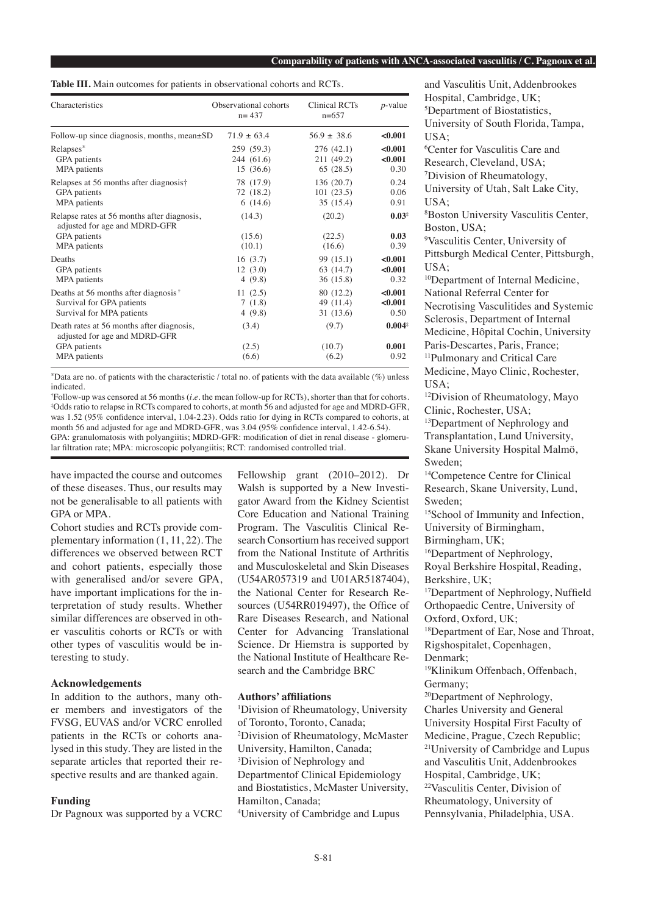#### **Comparability of patients with ANCA-associated vasculitis / C. Pagnoux et al.**

**Table III.** Main outcomes for patients in observational cohorts and RCTs.

| Characteristics                                                                                              | Observational cohorts<br>$n = 437$ | <b>Clinical RCTs</b><br>$n=657$ | $p$ -value                        |
|--------------------------------------------------------------------------------------------------------------|------------------------------------|---------------------------------|-----------------------------------|
| Follow-up since diagnosis, months, mean $\pm SD$                                                             | $71.9 + 63.4$                      | $56.9 \pm 38.6$                 | < 0.001                           |
| Relapses*                                                                                                    | 259 (59.3)                         | 276 (42.1)                      | < 0.001                           |
| GPA patients                                                                                                 | 244 (61.6)                         | 211 (49.2)                      | < 0.001                           |
| MPA patients                                                                                                 | 15(36.6)                           | 65(28.5)                        | 0.30                              |
| Relapses at 56 months after diagnosis†                                                                       | 78 (17.9)                          | 136(20.7)                       | 0.24                              |
| GPA patients                                                                                                 | 72 (18.2)                          | 101(23.5)                       | 0.06                              |
| MPA patients                                                                                                 | 6(14.6)                            | 35 (15.4)                       | 0.91                              |
| Relapse rates at 56 months after diagnosis,<br>adjusted for age and MDRD-GFR<br>GPA patients<br>MPA patients | (14.3)<br>(15.6)<br>(10.1)         | (20.2)<br>(22.5)<br>(16.6)      | 0.03 <sup>1</sup><br>0.03<br>0.39 |
| Deaths                                                                                                       | 16(3.7)                            | 99 (15.1)                       | < 0.001                           |
| GPA patients                                                                                                 | 12(3.0)                            | 63 (14.7)                       | < 0.001                           |
| MPA patients                                                                                                 | 4(9.8)                             | 36 (15.8)                       | 0.32                              |
| Deaths at 56 months after diagnosis <sup><math>†</math></sup>                                                | 11(2.5)                            | 80 (12.2)                       | < 0.001                           |
| Survival for GPA patients                                                                                    | 7(1.8)                             | 49 (11.4)                       | < 0.001                           |
| Survival for MPA patients                                                                                    | 4(9.8)                             | 31 (13.6)                       | 0.50                              |
| Death rates at 56 months after diagnosis,<br>adjusted for age and MDRD-GFR                                   | (3.4)                              | (9.7)                           | $0.004^{*}$                       |
| GPA patients                                                                                                 | (2.5)                              | (10.7)                          | 0.001                             |
| MPA patients                                                                                                 | (6.6)                              | (6.2)                           | 0.92                              |

\*Data are no. of patients with the characteristic / total no. of patients with the data available (%) unless indicated.

† Follow-up was censored at 56 months (*i.e.* the mean follow-up for RCTs), shorter than that for cohorts. ‡ Odds ratio to relapse in RCTs compared to cohorts, at month 56 and adjusted for age and MDRD-GFR, was 1.52 (95% confidence interval, 1.04-2.23). Odds ratio for dying in RCTs compared to cohorts, at month 56 and adjusted for age and MDRD-GFR, was 3.04 (95% confidence interval, 1.42-6.54). GPA: granulomatosis with polyangiitis; MDRD-GFR: modification of diet in renal disease - glomeru-

lar filtration rate; MPA: microscopic polyangiitis; RCT: randomised controlled trial.

have impacted the course and outcomes of these diseases. Thus, our results may not be generalisable to all patients with GPA or MPA.

Cohort studies and RCTs provide complementary information (1, 11, 22). The differences we observed between RCT and cohort patients, especially those with generalised and/or severe GPA, have important implications for the interpretation of study results. Whether similar differences are observed in other vasculitis cohorts or RCTs or with other types of vasculitis would be interesting to study.

## **Acknowledgements**

In addition to the authors, many other members and investigators of the FVSG, EUVAS and/or VCRC enrolled patients in the RCTs or cohorts analysed in this study. They are listed in the separate articles that reported their respective results and are thanked again.

#### **Funding**

Dr Pagnoux was supported by a VCRC

Fellowship grant (2010–2012). Dr Walsh is supported by a New Investigator Award from the Kidney Scientist Core Education and National Training Program. The Vasculitis Clinical Research Consortium has received support from the National Institute of Arthritis and Musculoskeletal and Skin Diseases (U54AR057319 and U01AR5187404), the National Center for Research Resources (U54RR019497), the Office of Rare Diseases Research, and National Center for Advancing Translational Science. Dr Hiemstra is supported by the National Institute of Healthcare Research and the Cambridge BRC

#### **Authors' affiliations**

1 Division of Rheumatology, University of Toronto, Toronto, Canada; 2 Division of Rheumatology, McMaster University, Hamilton, Canada; 3 Division of Nephrology and Departmentof Clinical Epidemiology and Biostatistics, McMaster University, Hamilton, Canada; 4 University of Cambridge and Lupus

and Vasculitis Unit, Addenbrookes Hospital, Cambridge, UK; 5 Department of Biostatistics, University of South Florida, Tampa, USA; 6 Center for Vasculitis Care and Research, Cleveland, USA; 7 Division of Rheumatology, University of Utah, Salt Lake City, USA; 8 Boston University Vasculitis Center, Boston, USA; 9 Vasculitis Center, University of Pittsburgh Medical Center, Pittsburgh, USA; <sup>10</sup>Department of Internal Medicine, National Referral Center for Necrotising Vasculitides and Systemic Sclerosis, Department of Internal Medicine, Hôpital Cochin, University Paris-Descartes, Paris, France; 11Pulmonary and Critical Care Medicine, Mayo Clinic, Rochester, USA; 12Division of Rheumatology, Mayo Clinic, Rochester, USA; <sup>13</sup>Department of Nephrology and Transplantation, Lund University, Skane University Hospital Malmö, Sweden; 14Competence Centre for Clinical Research, Skane University, Lund, Sweden; <sup>15</sup>School of Immunity and Infection, University of Birmingham, Birmingham, UK; 16Department of Nephrology, Royal Berkshire Hospital, Reading, Berkshire, UK; <sup>17</sup>Department of Nephrology, Nuffield Orthopaedic Centre, University of Oxford, Oxford, UK; <sup>18</sup>Department of Ear, Nose and Throat, Rigshospitalet, Copenhagen, Denmark; 19Klinikum Offenbach, Offenbach, Germany; 20Department of Nephrology, Charles University and General University Hospital First Faculty of Medicine, Prague, Czech Republic; <sup>21</sup>University of Cambridge and Lupus and Vasculitis Unit, Addenbrookes Hospital, Cambridge, UK; <sup>22</sup>Vasculitis Center, Division of Rheumatology, University of Pennsylvania, Philadelphia, USA.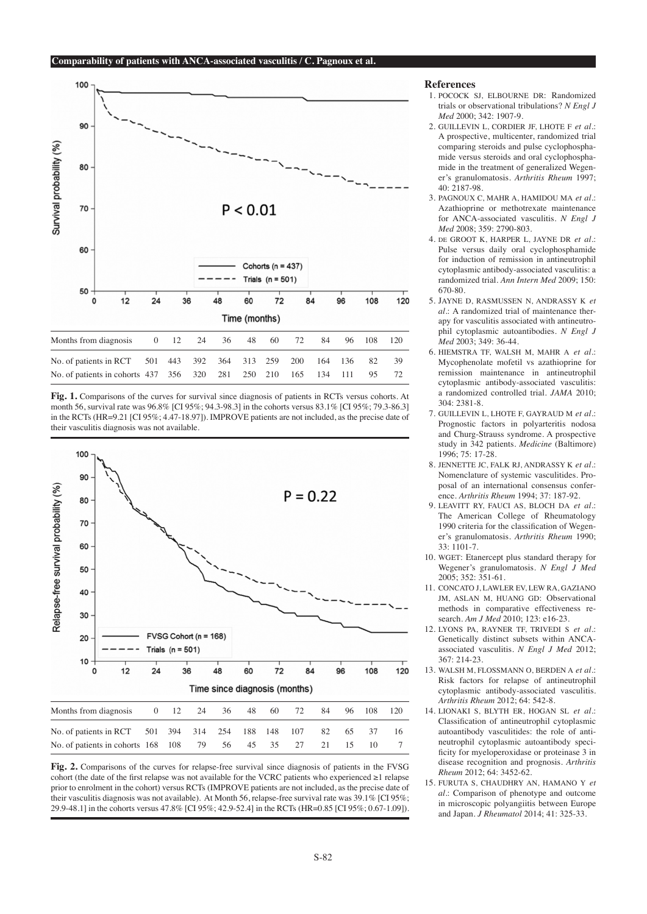

**Fig. 1.** Comparisons of the curves for survival since diagnosis of patients in RCTs versus cohorts. At month 56, survival rate was 96.8% [CI 95%; 94.3-98.3] in the cohorts versus 83.1% [CI 95%; 79.3-86.3] in the RCTs (HR=9.21 [CI 95%; 4.47-18.97]). IMPROVE patients are not included, as the precise date of their vasculitis diagnosis was not available.



**Fig. 2.** Comparisons of the curves for relapse-free survival since diagnosis of patients in the FVSG cohort (the date of the first relapse was not available for the VCRC patients who experienced ≥1 relapse prior to enrolment in the cohort) versus RCTs (IMPROVE patients are not included, as the precise date of their vasculitis diagnosis was not available). At Month 56, relapse-free survival rate was 39.1% [CI 95%; 29.9-48.1] in the cohorts versus 47.8% [CI 95%; 42.9-52.4] in the RCTs (HR=0.85 [CI 95%; 0.67-1.09]).

#### **References**

- 1. POCOCK SJ, ELBOURNE DR: Randomized trials or observational tribulations? *N Engl J Med* 2000; 342: 1907-9.
- 2. GUILLEVIN L, CORDIER JF, LHOTE F *et al.*: A prospective, multicenter, randomized trial comparing steroids and pulse cyclophosphamide versus steroids and oral cyclophosphamide in the treatment of generalized Wegener's granulomatosis. *Arthritis Rheum* 1997; 40: 2187-98.
- 3. PAGNOUX C, MAHR A, HAMIDOU MA *et al.*: Azathioprine or methotrexate maintenance for ANCA-associated vasculitis. *N Engl J Med* 2008; 359: 2790-803.
- 4. de GROOT K, HARPER L, JAYNE DR *et al.*: Pulse versus daily oral cyclophosphamide for induction of remission in antineutrophil cytoplasmic antibody-associated vasculitis: a randomized trial. *Ann Intern Med* 2009; 150: 670-80.
- 5. JAYNE D, RASMUSSEN N, ANDRASSY K *et al.*: A randomized trial of maintenance therapy for vasculitis associated with antineutrophil cytoplasmic autoantibodies. *N Engl J Med* 2003; 349: 36-44.
- 6. HIEMSTRA TF, WALSH M, MAHR A *et al.*: Mycophenolate mofetil vs azathioprine for remission maintenance in antineutrophil cytoplasmic antibody-associated vasculitis: a randomized controlled trial. *JAMA* 2010; 304: 2381-8.
- 7. GUILLEVIN L, LHOTE F, GAYRAUD M *et al.*: Prognostic factors in polyarteritis nodosa and Churg-Strauss syndrome. A prospective study in 342 patients. *Medicine* (Baltimore) 1996; 75: 17-28.
- 8. JENNETTE JC, FALK RJ, ANDRASSY K *et al.*: Nomenclature of systemic vasculitides. Proposal of an international consensus conference. *Arthritis Rheum* 1994; 37: 187-92.
- 9. LEAVITT RY, FAUCI AS, BLOCH DA *et al.*: The American College of Rheumatology 1990 criteria for the classification of Wegener's granulomatosis. *Arthritis Rheum* 1990; 33: 1101-7.
- 10. WGET: Etanercept plus standard therapy for Wegener's granulomatosis. *N Engl J Med* 2005; 352: 351-61.
- 11. CONCATO J, LAWLER EV, LEW RA, GAZIANO JM, ASLAN M, HUANG GD: Observational methods in comparative effectiveness research. *Am J Med* 2010; 123: e16-23.
- 12. LYONS PA, RAYNER TF, TRIVEDI S *et al.*: Genetically distinct subsets within ANCAassociated vasculitis. *N Engl J Med* 2012; 367: 214-23.
- 13. WALSH M, FLOSSMANN O, BERDEN A *et al.*: Risk factors for relapse of antineutrophil cytoplasmic antibody-associated vasculitis. *Arthritis Rheum* 2012; 64: 542-8.
- 14. LIONAKI S, BLYTH ER, HOGAN SL *et al.*: Classification of antineutrophil cytoplasmic autoantibody vasculitides: the role of antineutrophil cytoplasmic autoantibody specificity for myeloperoxidase or proteinase 3 in disease recognition and prognosis. *Arthritis Rheum* 2012; 64: 3452-62.
- 15. FURUTA S, CHAUDHRY AN, HAMANO Y *et al.*: Comparison of phenotype and outcome in microscopic polyangiitis between Europe and Japan. *J Rheumatol* 2014; 41: 325-33.